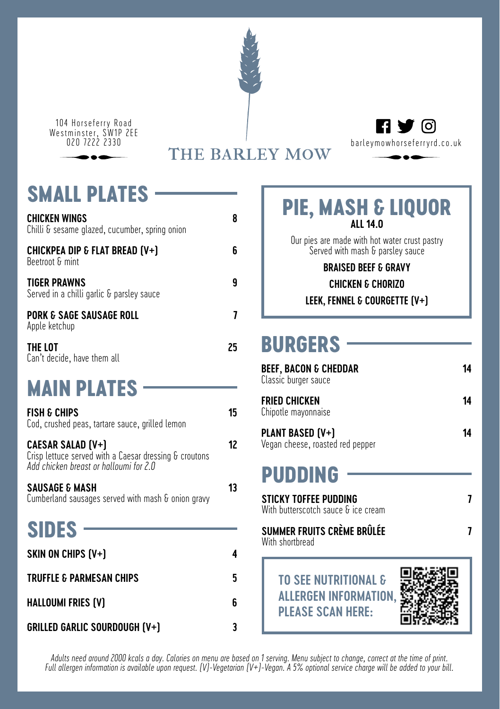104 Horseferry Road Westminster, SW1P 2EE



# **small plates**

| CHICKEN WINGS<br>Chilli & sesame glazed, cucumber, spring onion                                                       | 8  |
|-----------------------------------------------------------------------------------------------------------------------|----|
| CHICKPEA DIP & FLAT BREAD (V+)<br>Beetroot & mint                                                                     | ĥ  |
| TIGER PRAWNS<br>Served in a chilli garlic & parsley sauce                                                             | g  |
| <b>PORK &amp; SAGE SAUSAGE ROLL</b><br>Apple ketchup                                                                  | 7  |
| THE LOT<br>Can't decide, have them all                                                                                | 25 |
| <b>MAIN PLATES</b>                                                                                                    |    |
| <b>FISH &amp; CHIPS</b><br>Cod, crushed peas, tartare sauce, grilled lemon                                            | 15 |
| CAESAR SALAD (V+)<br>Crisp lettuce served with a Caesar dressing & croutons<br>Add chicken breast or halloumi for 2.0 | 12 |
| <b>SAUSAGE &amp; MASH</b><br>Cumberland sausages served with mash & onion gravy                                       | 13 |

# **sides**

| SKIN ON CHIPS (V+)                   |    |
|--------------------------------------|----|
| TRUFFLE & PARMESAN CHIPS             | 5. |
| HALLOUMI FRIES (V)                   |    |
| <b>GRILLED GARLIC SOURDOUGH (V+)</b> |    |

### **Pie, Mash & Liquor All 14.0**

Our pies are made with hot water crust pastry Served with mash & parsley sauce

### **Braised beef & Gravy**

#### **Chicken & chorizo Leek, fennel & courgette (v+)**

## **burgers**

| BEEF, BACON & CHEDDAR<br>Classic burger sauce                              | 14 |
|----------------------------------------------------------------------------|----|
| FRIED CHICKEN<br>Chipotle mayonnaise                                       | 14 |
| PLANT BASED (V+)<br>Vegan cheese, roasted red pepper                       | 14 |
| PUDDING                                                                    |    |
| <b><i>STICKY TOFFEE PUDDING</i></b><br>With butterscotch sauce & ice cream |    |
| SUMMER FRUITS CRÈME BRÛLÉE<br>With shortbread                              |    |
|                                                                            |    |

### **To see nutritional & allergen information, please scan here:**



*Adults need around 2000 kcals a day. Calories on menu are based on 1 serving. Menu subject to change, correct at the time of print. Full allergen information is available upon request. (V)-Vegetarian (V+)-Vegan. A 5% optional service charge will be added to your bill.*